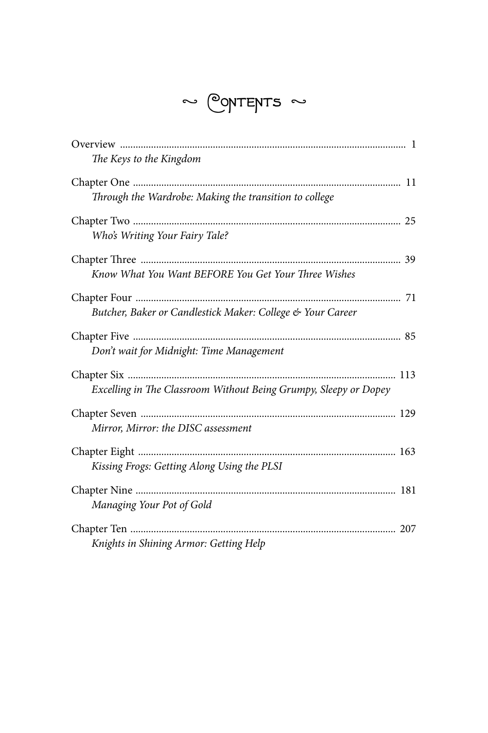# $\sim$  CONTENTS  $\sim$

| The Keys to the Kingdom                                          |  |
|------------------------------------------------------------------|--|
|                                                                  |  |
| Through the Wardrobe: Making the transition to college           |  |
|                                                                  |  |
| Who's Writing Your Fairy Tale?                                   |  |
|                                                                  |  |
| Know What You Want BEFORE You Get Your Three Wishes              |  |
|                                                                  |  |
| Butcher, Baker or Candlestick Maker: College & Your Career       |  |
|                                                                  |  |
| Don't wait for Midnight: Time Management                         |  |
|                                                                  |  |
| Excelling in The Classroom Without Being Grumpy, Sleepy or Dopey |  |
|                                                                  |  |
| Mirror, Mirror: the DISC assessment                              |  |
|                                                                  |  |
| Kissing Frogs: Getting Along Using the PLSI                      |  |
|                                                                  |  |
| Managing Your Pot of Gold                                        |  |
|                                                                  |  |
| Knights in Shining Armor: Getting Help                           |  |
|                                                                  |  |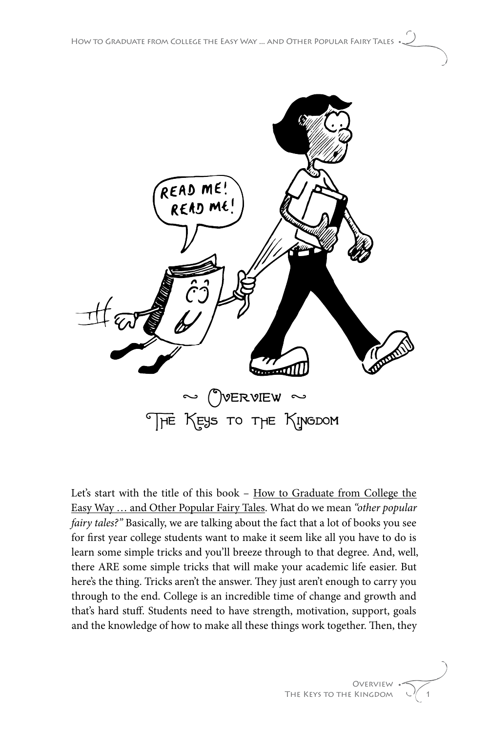

Let's start with the title of this book - How to Graduate from College the Easy Way … and Other Popular Fairy Tales. What do we mean *"other popular fairy tales?"* Basically, we are talking about the fact that a lot of books you see for first year college students want to make it seem like all you have to do is learn some simple tricks and you'll breeze through to that degree. And, well, there ARE some simple tricks that will make your academic life easier. But here's the thing. Tricks aren't the answer. They just aren't enough to carry you through to the end. College is an incredible time of change and growth and that's hard stuff. Students need to have strength, motivation, support, goals and the knowledge of how to make all these things work together. Then, they

> Overview The Keys to the Kingdom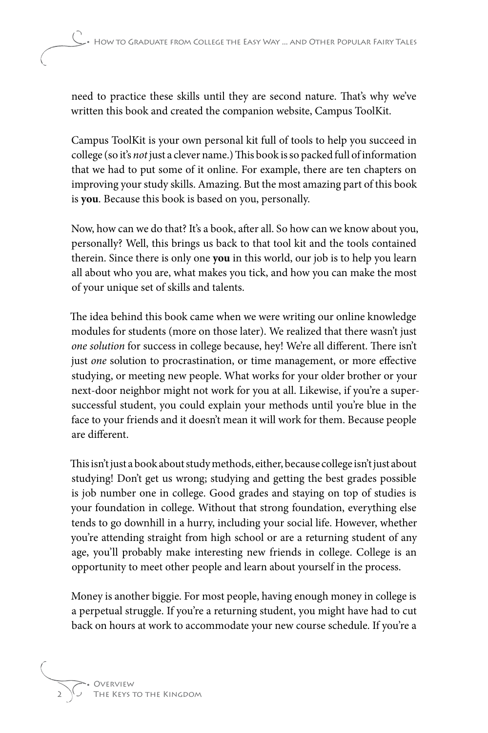need to practice these skills until they are second nature. That's why we've written this book and created the companion website, Campus ToolKit.

Campus ToolKit is your own personal kit full of tools to help you succeed in college (so it's *not* just a clever name.) This book is so packed full of information that we had to put some of it online. For example, there are ten chapters on improving your study skills. Amazing. But the most amazing part of this book is **you**. Because this book is based on you, personally.

Now, how can we do that? It's a book, after all. So how can we know about you, personally? Well, this brings us back to that tool kit and the tools contained therein. Since there is only one **you** in this world, our job is to help you learn all about who you are, what makes you tick, and how you can make the most of your unique set of skills and talents.

The idea behind this book came when we were writing our online knowledge modules for students (more on those later). We realized that there wasn't just *one solution* for success in college because, hey! We're all different. There isn't just *one* solution to procrastination, or time management, or more effective studying, or meeting new people. What works for your older brother or your next-door neighbor might not work for you at all. Likewise, if you're a supersuccessful student, you could explain your methods until you're blue in the face to your friends and it doesn't mean it will work for them. Because people are different.

This isn't just a book about study methods, either, because college isn't just about studying! Don't get us wrong; studying and getting the best grades possible is job number one in college. Good grades and staying on top of studies is your foundation in college. Without that strong foundation, everything else tends to go downhill in a hurry, including your social life. However, whether you're attending straight from high school or are a returning student of any age, you'll probably make interesting new friends in college. College is an opportunity to meet other people and learn about yourself in the process.

Money is another biggie. For most people, having enough money in college is a perpetual struggle. If you're a returning student, you might have had to cut back on hours at work to accommodate your new course schedule. If you're a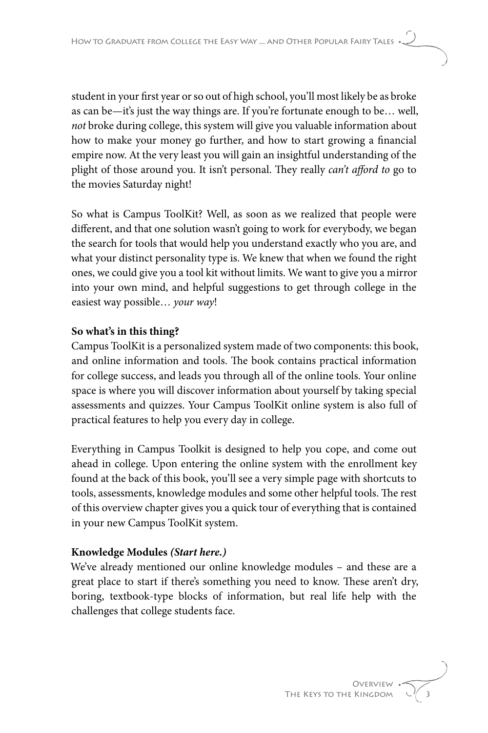student in your first year or so out of high school, you'll most likely be as broke as can be—it's just the way things are. If you're fortunate enough to be… well, *not* broke during college, this system will give you valuable information about how to make your money go further, and how to start growing a financial empire now. At the very least you will gain an insightful understanding of the plight of those around you. It isn't personal. They really *can't afford to* go to the movies Saturday night!

So what is Campus ToolKit? Well, as soon as we realized that people were different, and that one solution wasn't going to work for everybody, we began the search for tools that would help you understand exactly who you are, and what your distinct personality type is. We knew that when we found the right ones, we could give you a tool kit without limits. We want to give you a mirror into your own mind, and helpful suggestions to get through college in the easiest way possible… *your way*!

## **So what's in this thing?**

Campus ToolKit is a personalized system made of two components: this book, and online information and tools. The book contains practical information for college success, and leads you through all of the online tools. Your online space is where you will discover information about yourself by taking special assessments and quizzes. Your Campus ToolKit online system is also full of practical features to help you every day in college.

Everything in Campus Toolkit is designed to help you cope, and come out ahead in college. Upon entering the online system with the enrollment key found at the back of this book, you'll see a very simple page with shortcuts to tools, assessments, knowledge modules and some other helpful tools. The rest of this overview chapter gives you a quick tour of everything that is contained in your new Campus ToolKit system.

## **Knowledge Modules** *(Start here.)*

We've already mentioned our online knowledge modules – and these are a great place to start if there's something you need to know. These aren't dry, boring, textbook-type blocks of information, but real life help with the challenges that college students face.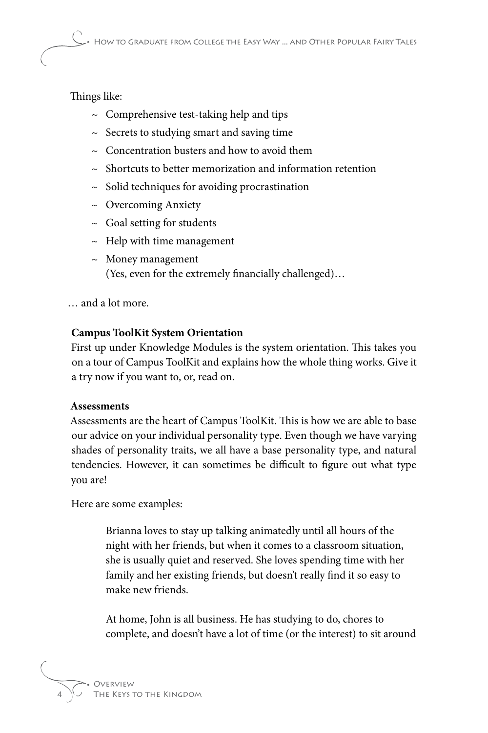#### Things like:

- $\sim$  Comprehensive test-taking help and tips
- $\sim$  Secrets to studying smart and saving time
- $\sim$  Concentration busters and how to avoid them
- $\sim$  Shortcuts to better memorization and information retention
- $\sim$  Solid techniques for avoiding procrastination
- ~ Overcoming Anxiety
- ~ Goal setting for students
- $\sim$  Help with time management
- ~ Money management (Yes, even for the extremely financially challenged)…

… and a lot more.

#### **Campus ToolKit System Orientation**

First up under Knowledge Modules is the system orientation. This takes you on a tour of Campus ToolKit and explains how the whole thing works. Give it a try now if you want to, or, read on.

#### **Assessments**

Assessments are the heart of Campus ToolKit. This is how we are able to base our advice on your individual personality type. Even though we have varying shades of personality traits, we all have a base personality type, and natural tendencies. However, it can sometimes be difficult to figure out what type you are!

Here are some examples:

Brianna loves to stay up talking animatedly until all hours of the night with her friends, but when it comes to a classroom situation, she is usually quiet and reserved. She loves spending time with her family and her existing friends, but doesn't really find it so easy to make new friends.

 At home, John is all business. He has studying to do, chores to complete, and doesn't have a lot of time (or the interest) to sit around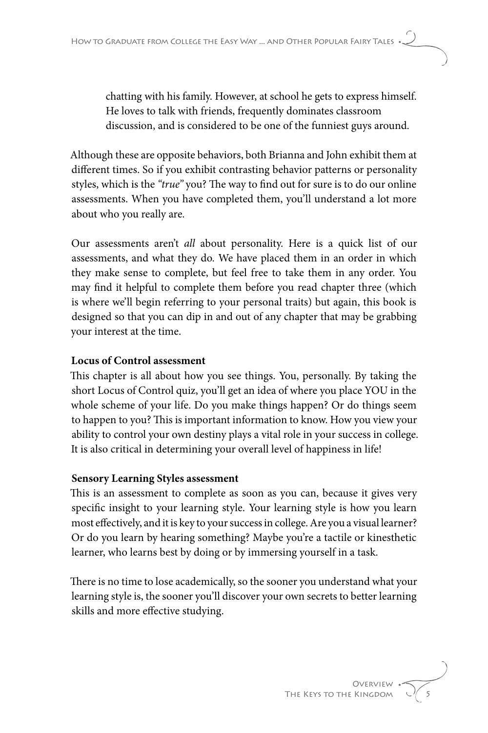chatting with his family. However, at school he gets to express himself. He loves to talk with friends, frequently dominates classroom discussion, and is considered to be one of the funniest guys around.

Although these are opposite behaviors, both Brianna and John exhibit them at different times. So if you exhibit contrasting behavior patterns or personality styles, which is the *"true"* you? The way to find out for sure is to do our online assessments. When you have completed them, you'll understand a lot more about who you really are.

Our assessments aren't *all* about personality. Here is a quick list of our assessments, and what they do. We have placed them in an order in which they make sense to complete, but feel free to take them in any order. You may find it helpful to complete them before you read chapter three (which is where we'll begin referring to your personal traits) but again, this book is designed so that you can dip in and out of any chapter that may be grabbing your interest at the time.

## **Locus of Control assessment**

This chapter is all about how you see things. You, personally. By taking the short Locus of Control quiz, you'll get an idea of where you place YOU in the whole scheme of your life. Do you make things happen? Or do things seem to happen to you? This is important information to know. How you view your ability to control your own destiny plays a vital role in your success in college. It is also critical in determining your overall level of happiness in life!

## **Sensory Learning Styles assessment**

This is an assessment to complete as soon as you can, because it gives very specific insight to your learning style. Your learning style is how you learn most effectively, and it is key to your success in college. Are you a visual learner? Or do you learn by hearing something? Maybe you're a tactile or kinesthetic learner, who learns best by doing or by immersing yourself in a task.

There is no time to lose academically, so the sooner you understand what your learning style is, the sooner you'll discover your own secrets to better learning skills and more effective studying.

> **Overview** The Keys to the Kingdom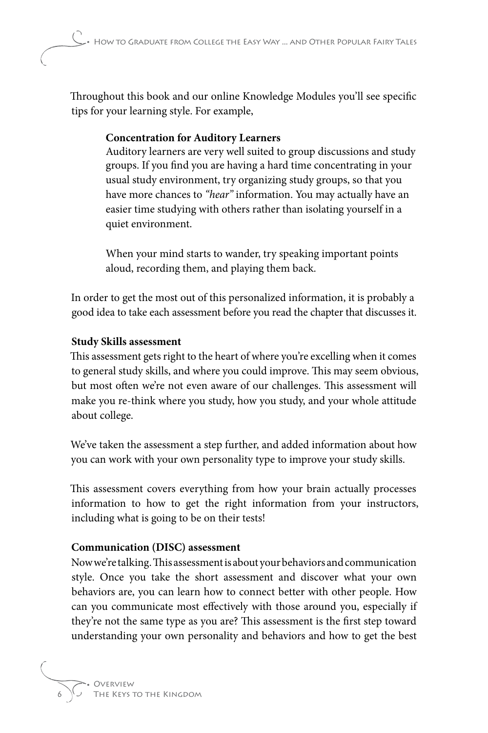Throughout this book and our online Knowledge Modules you'll see specific tips for your learning style. For example,

## **Concentration for Auditory Learners**

 Auditory learners are very well suited to group discussions and study groups. If you find you are having a hard time concentrating in your usual study environment, try organizing study groups, so that you have more chances to *"hear"* information. You may actually have an easier time studying with others rather than isolating yourself in a quiet environment.

 When your mind starts to wander, try speaking important points aloud, recording them, and playing them back.

In order to get the most out of this personalized information, it is probably a good idea to take each assessment before you read the chapter that discusses it.

## **Study Skills assessment**

This assessment gets right to the heart of where you're excelling when it comes to general study skills, and where you could improve. This may seem obvious, but most often we're not even aware of our challenges. This assessment will make you re-think where you study, how you study, and your whole attitude about college.

We've taken the assessment a step further, and added information about how you can work with your own personality type to improve your study skills.

This assessment covers everything from how your brain actually processes information to how to get the right information from your instructors, including what is going to be on their tests!

## **Communication (DISC) assessment**

Now we're talking. This assessment is about your behaviors and communication style. Once you take the short assessment and discover what your own behaviors are, you can learn how to connect better with other people. How can you communicate most effectively with those around you, especially if they're not the same type as you are? This assessment is the first step toward understanding your own personality and behaviors and how to get the best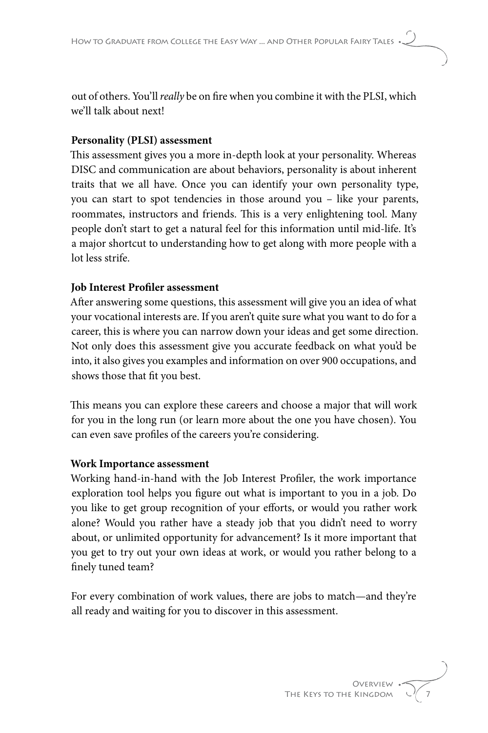out of others. You'll *really* be on fire when you combine it with the PLSI, which we'll talk about next!

#### **Personality (PLSI) assessment**

This assessment gives you a more in-depth look at your personality. Whereas DISC and communication are about behaviors, personality is about inherent traits that we all have. Once you can identify your own personality type, you can start to spot tendencies in those around you – like your parents, roommates, instructors and friends. This is a very enlightening tool. Many people don't start to get a natural feel for this information until mid-life. It's a major shortcut to understanding how to get along with more people with a lot less strife.

## **Job Interest Profiler assessment**

After answering some questions, this assessment will give you an idea of what your vocational interests are. If you aren't quite sure what you want to do for a career, this is where you can narrow down your ideas and get some direction. Not only does this assessment give you accurate feedback on what you'd be into, it also gives you examples and information on over 900 occupations, and shows those that fit you best.

This means you can explore these careers and choose a major that will work for you in the long run (or learn more about the one you have chosen). You can even save profiles of the careers you're considering.

#### **Work Importance assessment**

Working hand-in-hand with the Job Interest Profiler, the work importance exploration tool helps you figure out what is important to you in a job. Do you like to get group recognition of your efforts, or would you rather work alone? Would you rather have a steady job that you didn't need to worry about, or unlimited opportunity for advancement? Is it more important that you get to try out your own ideas at work, or would you rather belong to a finely tuned team?

For every combination of work values, there are jobs to match—and they're all ready and waiting for you to discover in this assessment.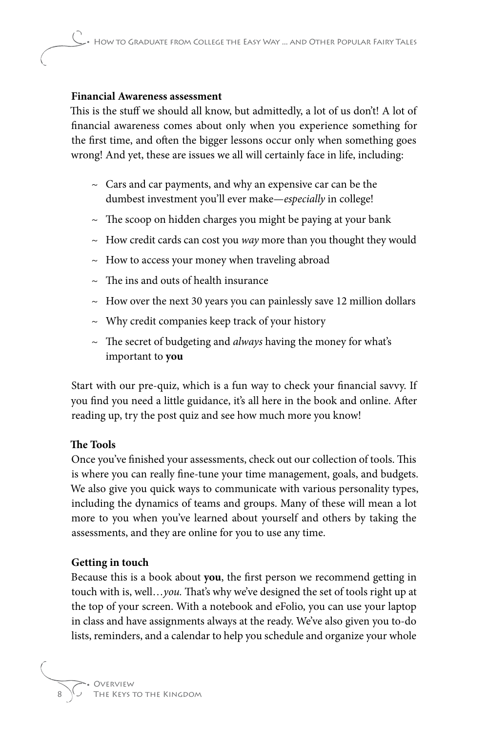#### **Financial Awareness assessment**

This is the stuff we should all know, but admittedly, a lot of us don't! A lot of financial awareness comes about only when you experience something for the first time, and often the bigger lessons occur only when something goes wrong! And yet, these are issues we all will certainly face in life, including:

- ~ Cars and car payments, and why an expensive car can be the dumbest investment you'll ever make—*especially* in college!
- $\sim$  The scoop on hidden charges you might be paying at your bank
- ~ How credit cards can cost you *way* more than you thought they would
- $\sim$  How to access your money when traveling abroad
- $\sim$  The ins and outs of health insurance
- $\sim$  How over the next 30 years you can painlessly save 12 million dollars
- $\sim$  Why credit companies keep track of your history
- ~ The secret of budgeting and *always* having the money for what's important to **you**

Start with our pre-quiz, which is a fun way to check your financial savvy. If you find you need a little guidance, it's all here in the book and online. After reading up, try the post quiz and see how much more you know!

#### **The Tools**

Once you've finished your assessments, check out our collection of tools. This is where you can really fine-tune your time management, goals, and budgets. We also give you quick ways to communicate with various personality types, including the dynamics of teams and groups. Many of these will mean a lot more to you when you've learned about yourself and others by taking the assessments, and they are online for you to use any time.

## **Getting in touch**

8

Because this is a book about **you**, the first person we recommend getting in touch with is, well…*you.* That's why we've designed the set of tools right up at the top of your screen. With a notebook and eFolio, you can use your laptop in class and have assignments always at the ready. We've also given you to-do lists, reminders, and a calendar to help you schedule and organize your whole